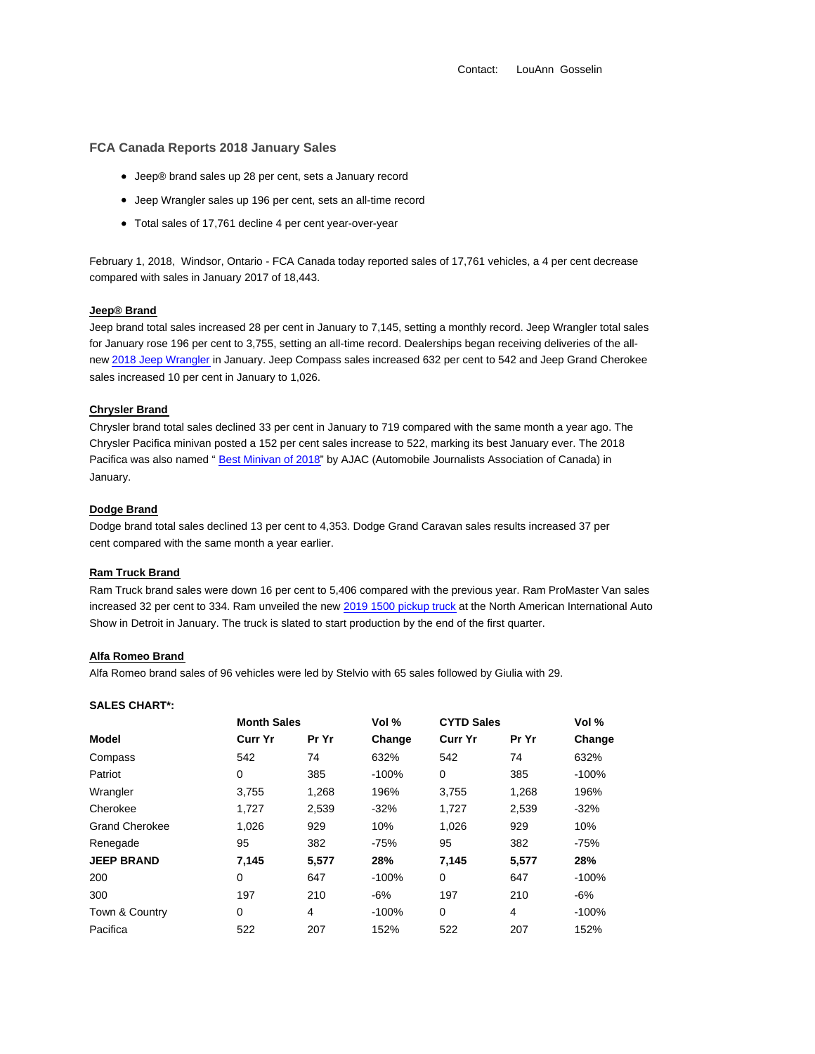Contact: LouAnn Gosselin

# **FCA Canada Reports 2018 January Sales**

- Jeep® brand sales up 28 per cent, sets a January record
- Jeep Wrangler sales up 196 per cent, sets an all-time record
- Total sales of 17,761 decline 4 per cent year-over-year

February 1, 2018, Windsor, Ontario - FCA Canada today reported sales of 17,761 vehicles, a 4 per cent decrease compared with sales in January 2017 of 18,443.

#### **Jeep® Brand**

Jeep brand total sales increased 28 per cent in January to 7,145, setting a monthly record. Jeep Wrangler total sales for January rose 196 per cent to 3,755, setting an all-time record. Dealerships began receiving deliveries of the allnew 2018 Jeep Wrangler in January. Jeep Compass sales increased 632 per cent to 542 and Jeep Grand Cherokee sales increased 10 per cent in January to 1,026.

## **Chrysler Brand**

Chrysler brand total sales declined 33 per cent in January to 719 compared with the same month a year ago. The Chrysler Pacifica minivan posted a 152 per cent sales increase to 522, marking its best January ever. The 2018 Pacifica was also named " Best Minivan of 2018" by AJAC (Automobile Journalists Association of Canada) in January.

## **Dodge Brand**

Dodge brand total sales declined 13 per cent to 4,353. Dodge Grand Caravan sales results increased 37 per cent compared with the same month a year earlier.

## **Ram Truck Brand**

Ram Truck brand sales were down 16 per cent to 5,406 compared with the previous year. Ram ProMaster Van sales increased 32 per cent to 334. Ram unveiled the new 2019 1500 pickup truck at the North American International Auto Show in Detroit in January. The truck is slated to start production by the end of the first quarter.

## **Alfa Romeo Brand**

Alfa Romeo brand sales of 96 vehicles were led by Stelvio with 65 sales followed by Giulia with 29.

| <b>SALES CHART*:</b> |
|----------------------|
|                      |

|                       | <b>Month Sales</b> |       | Vol %   | <b>CYTD Sales</b> |       | Vol %   |
|-----------------------|--------------------|-------|---------|-------------------|-------|---------|
| Model                 | <b>Curr Yr</b>     | Pr Yr | Change  | <b>Curr Yr</b>    | Pr Yr | Change  |
| Compass               | 542                | 74    | 632%    | 542               | 74    | 632%    |
| Patriot               | 0                  | 385   | $-100%$ | 0                 | 385   | $-100%$ |
| Wrangler              | 3,755              | 1,268 | 196%    | 3,755             | 1,268 | 196%    |
| Cherokee              | 1.727              | 2,539 | $-32%$  | 1.727             | 2,539 | $-32%$  |
| <b>Grand Cherokee</b> | 1,026              | 929   | 10%     | 1.026             | 929   | 10%     |
| Renegade              | 95                 | 382   | $-75%$  | 95                | 382   | $-75%$  |
| <b>JEEP BRAND</b>     | 7,145              | 5,577 | 28%     | 7.145             | 5,577 | 28%     |
| 200                   | 0                  | 647   | $-100%$ | 0                 | 647   | $-100%$ |
| 300                   | 197                | 210   | -6%     | 197               | 210   | -6%     |
| Town & Country        | 0                  | 4     | $-100%$ | 0                 | 4     | $-100%$ |
| Pacifica              | 522                | 207   | 152%    | 522               | 207   | 152%    |